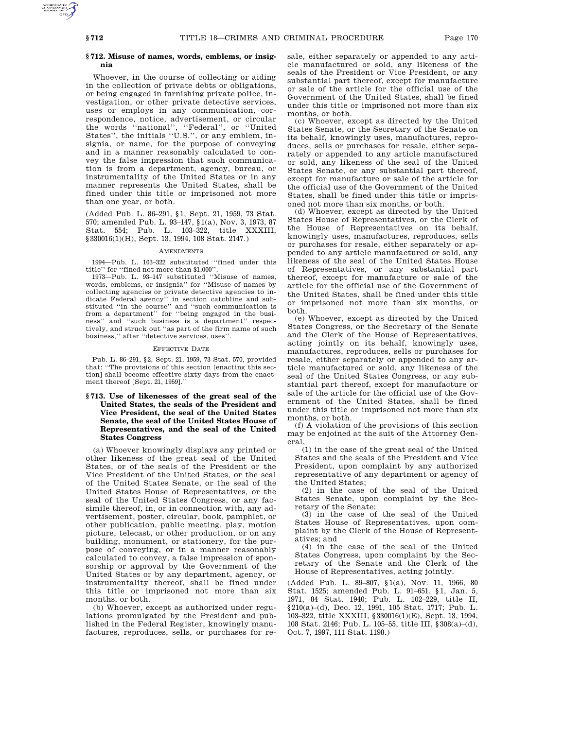# **§ 712. Misuse of names, words, emblems, or insignia**

Whoever, in the course of collecting or aiding in the collection of private debts or obligations, or being engaged in furnishing private police, investigation, or other private detective services, uses or employs in any communication, correspondence, notice, advertisement, or circular the words ''national'', ''Federal'', or ''United States'', the initials ''U.S.'', or any emblem, insignia, or name, for the purpose of conveying and in a manner reasonably calculated to convey the false impression that such communication is from a department, agency, bureau, or instrumentality of the United States or in any manner represents the United States, shall be fined under this title or imprisoned not more than one year, or both.

(Added Pub. L. 86–291, §1, Sept. 21, 1959, 73 Stat. 570; amended Pub. L. 93–147, §1(a), Nov. 3, 1973, 87 Stat. 554; Pub. L. 103–322, title XXXIII, §330016(1)(H), Sept. 13, 1994, 108 Stat. 2147.)

## AMENDMENTS

1994—Pub. L. 103–322 substituted ''fined under this title'' for ''fined not more than \$1,000''.

1973—Pub. L. 93–147 substituted ''Misuse of names, words, emblems, or insignia'' for ''Misuse of names by collecting agencies or private detective agencies to indicate Federal agency<sup>7</sup> in section catchline and substituted ''in the course'' and ''such communication is from a department'' for ''being engaged in the business'' and ''such business is a department'' respectively, and struck out ''as part of the firm name of such business,'' after ''detective services, uses''.

## EFFECTIVE DATE

Pub. L. 86–291, §2, Sept. 21, 1959, 73 Stat. 570, provided that: ''The provisions of this section [enacting this section] shall become effective sixty days from the enactment thereof [Sept. 21, 1959].''

**§ 713. Use of likenesses of the great seal of the United States, the seals of the President and Vice President, the seal of the United States Senate, the seal of the United States House of Representatives, and the seal of the United States Congress**

(a) Whoever knowingly displays any printed or other likeness of the great seal of the United States, or of the seals of the President or the Vice President of the United States, or the seal of the United States Senate, or the seal of the United States House of Representatives, or the seal of the United States Congress, or any facsimile thereof, in, or in connection with, any advertisement, poster, circular, book, pamphlet, or other publication, public meeting, play, motion picture, telecast, or other production, or on any building, monument, or stationery, for the purpose of conveying, or in a manner reasonably calculated to convey, a false impression of sponsorship or approval by the Government of the United States or by any department, agency, or instrumentality thereof, shall be fined under this title or imprisoned not more than six months, or both.

(b) Whoever, except as authorized under regulations promulgated by the President and published in the Federal Register, knowingly manufactures, reproduces, sells, or purchases for resale, either separately or appended to any article manufactured or sold, any likeness of the seals of the President or Vice President, or any substantial part thereof, except for manufacture or sale of the article for the official use of the Government of the United States, shall be fined under this title or imprisoned not more than six months, or both.

(c) Whoever, except as directed by the United States Senate, or the Secretary of the Senate on its behalf, knowingly uses, manufactures, reproduces, sells or purchases for resale, either separately or appended to any article manufactured or sold, any likeness of the seal of the United States Senate, or any substantial part thereof, except for manufacture or sale of the article for the official use of the Government of the United States, shall be fined under this title or imprisoned not more than six months, or both.

(d) Whoever, except as directed by the United States House of Representatives, or the Clerk of the House of Representatives on its behalf, knowingly uses, manufactures, reproduces, sells or purchases for resale, either separately or appended to any article manufactured or sold, any likeness of the seal of the United States House of Representatives, or any substantial part thereof, except for manufacture or sale of the article for the official use of the Government of the United States, shall be fined under this title or imprisoned not more than six months, or both.

(e) Whoever, except as directed by the United States Congress, or the Secretary of the Senate and the Clerk of the House of Representatives, acting jointly on its behalf, knowingly uses, manufactures, reproduces, sells or purchases for resale, either separately or appended to any article manufactured or sold, any likeness of the seal of the United States Congress, or any substantial part thereof, except for manufacture or sale of the article for the official use of the Government of the United States, shall be fined under this title or imprisoned not more than six months, or both.

(f) A violation of the provisions of this section may be enjoined at the suit of the Attorney General

(1) in the case of the great seal of the United States and the seals of the President and Vice President, upon complaint by any authorized representative of any department or agency of the United States;

(2) in the case of the seal of the United States Senate, upon complaint by the Secretary of the Senate;

(3) in the case of the seal of the United States House of Representatives, upon complaint by the Clerk of the House of Representatives; and

(4) in the case of the seal of the United States Congress, upon complaint by the Secretary of the Senate and the Clerk of the House of Representatives, acting jointly.

(Added Pub. L. 89–807, §1(a), Nov. 11, 1966, 80 Stat. 1525; amended Pub. L. 91–651, §1, Jan. 5, 1971, 84 Stat. 1940; Pub. L. 102–229, title II, §210(a)–(d), Dec. 12, 1991, 105 Stat. 1717; Pub. L. 103–322, title XXXIII, §330016(1)(E), Sept. 13, 1994, 108 Stat. 2146; Pub. L. 105–55, title III, §308(a)–(d), Oct. 7, 1997, 111 Stat. 1198.)